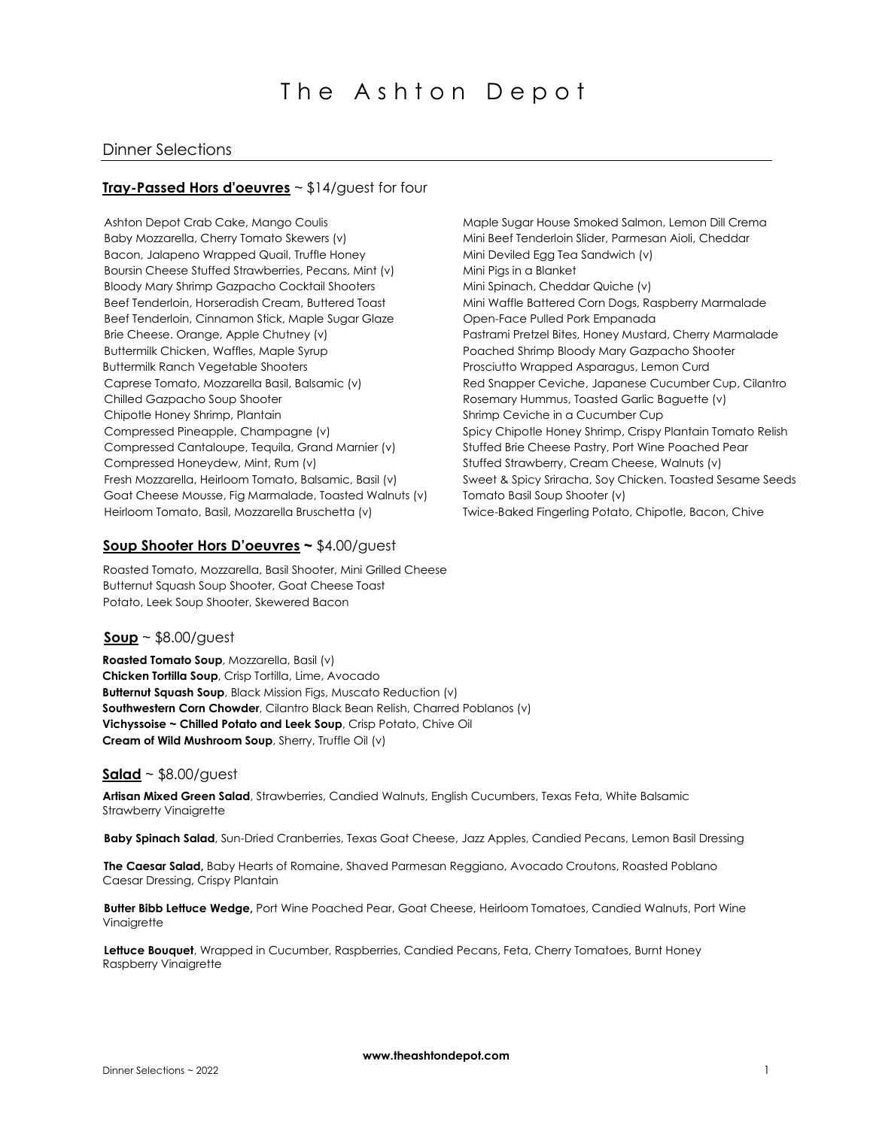# Dinner Selections

## **Tray-Passed Hors d'oeuvres** ~ \$14/guest for four

Ashton Depot Crab Cake, Mango Coulis Baby Mozzarella, Cherry Tomato Skewers (v) Bacon, Jalapeno Wrapped Quail, Truffle Honey Boursin Cheese Stuffed Strawberries, Pecans, Mint (v) Bloody Mary Shrimp Gazpacho Cocktail Shooters Beef Tenderloin, Horseradish Cream, Buttered Toast Beef Tenderloin, Cinnamon Stick, Maple Sugar Glaze Brie Cheese. Orange, Apple Chutney (v) Buttermilk Chicken, Waffles, Maple Syrup Buttermilk Ranch Vegetable Shooters Caprese Tomato, Mozzarella Basil, Balsamic (v) Chilled Gazpacho Soup Shooter Chipotle Honey Shrimp, Plantain Compressed Pineapple, Champagne (v) Compressed Cantaloupe, Tequila, Grand Marnier (v) Compressed Honeydew, Mint, Rum (v) Fresh Mozzarella, Heirloom Tomato, Balsamic, Basil (v) Goat Cheese Mousse, Fig Marmalade, Toasted Walnuts (v) Heirloom Tomato, Basil, Mozzarella Bruschetta (v)

Maple Sugar House Smoked Salmon, Lemon Dill Crema Mini Beef Tenderloin Slider, Parmesan Aioli, Cheddar Mini Deviled Egg Tea Sandwich (v) Mini Pigs in a Blanket Mini Spinach, Cheddar Quiche (v) Mini Waffle Battered Corn Dogs, Raspberry Marmalade Open-Face Pulled Pork Empanada Pastrami Pretzel Bites, Honey Mustard, Cherry Marmalade Poached Shrimp Bloody Mary Gazpacho Shooter Prosciutto Wrapped Asparagus, Lemon Curd Red Snapper Ceviche, Japanese Cucumber Cup, Cilantro Rosemary Hummus, Toasted Garlic Baguette (v) Shrimp Ceviche in a Cucumber Cup Spicy Chipotle Honey Shrimp, Crispy Plantain Tomato Relish Stuffed Brie Cheese Pastry, Port Wine Poached Pear Stuffed Strawberry, Cream Cheese, Walnuts (v) Sweet & Spicy Sriracha, Soy Chicken. Toasted Sesame Seeds Tomato Basil Soup Shooter (v) Twice-Baked Fingerling Potato, Chipotle, Bacon, Chive

## **Soup Shooter Hors D'oeuvres ~** \$4.00/guest

Roasted Tomato, Mozzarella, Basil Shooter, Mini Grilled Cheese Butternut Squash Soup Shooter, Goat Cheese Toast Potato, Leek Soup Shooter, Skewered Bacon

# **Soup** ~ \$8.00/guest

**Roasted Tomato Soup**, Mozzarella, Basil (v) **Chicken Tortilla Soup**, Crisp Tortilla, Lime, Avocado **Butternut Squash Soup**, Black Mission Figs, Muscato Reduction (v) **Southwestern Corn Chowder**, Cilantro Black Bean Relish, Charred Poblanos (v) **Vichyssoise ~ Chilled Potato and Leek Soup**, Crisp Potato, Chive Oil **Cream of Wild Mushroom Soup**, Sherry, Truffle Oil (v)

## **Salad** ~ \$8.00/guest

**Artisan Mixed Green Salad**, Strawberries, Candied Walnuts, English Cucumbers, Texas Feta, White Balsamic Strawberry Vinaigrette

**Baby Spinach Salad**, Sun-Dried Cranberries, Texas Goat Cheese, Jazz Apples, Candied Pecans, Lemon Basil Dressing

**The Caesar Salad,** Baby Hearts of Romaine, Shaved Parmesan Reggiano, Avocado Croutons, Roasted Poblano Caesar Dressing, Crispy Plantain

**Butter Bibb Lettuce Wedge,** Port Wine Poached Pear, Goat Cheese, Heirloom Tomatoes, Candied Walnuts, Port Wine **Vinaigrette** 

**Lettuce Bouquet**, Wrapped in Cucumber, Raspberries, Candied Pecans, Feta, Cherry Tomatoes, Burnt Honey Raspberry Vinaigrette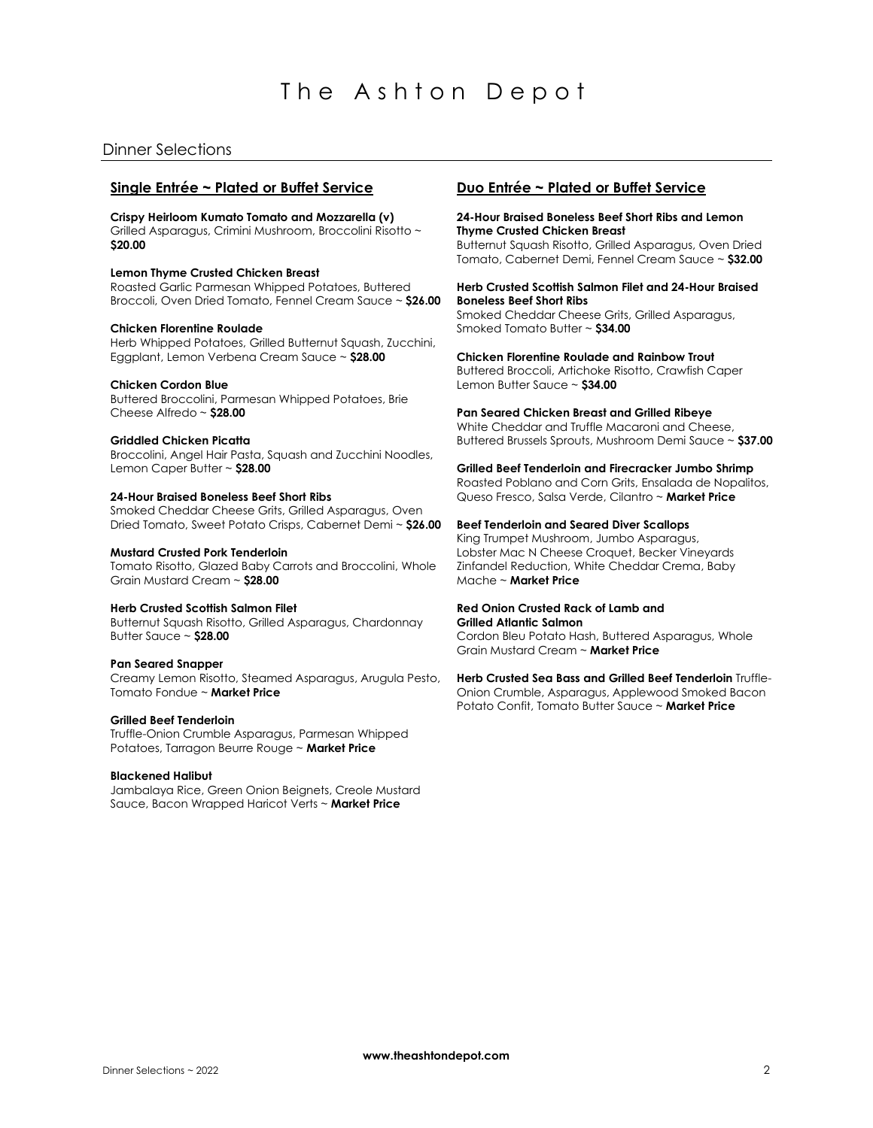# The Ashton Depot

# Dinner Selections

# **Single Entrée ~ Plated or Buffet Service**

**Crispy Heirloom Kumato Tomato and Mozzarella (v)** Grilled Asparagus, Crimini Mushroom, Broccolini Risotto ~ **\$20.00**

## **Lemon Thyme Crusted Chicken Breast**

Roasted Garlic Parmesan Whipped Potatoes, Buttered Broccoli, Oven Dried Tomato, Fennel Cream Sauce ~ **\$26.00**

#### **Chicken Florentine Roulade**

Herb Whipped Potatoes, Grilled Butternut Squash, Zucchini, Eggplant, Lemon Verbena Cream Sauce ~ **\$28.00**

## **Chicken Cordon Blue**

Buttered Broccolini, Parmesan Whipped Potatoes, Brie Cheese Alfredo ~ **\$28.00**

## **Griddled Chicken Picatta**

Broccolini, Angel Hair Pasta, Squash and Zucchini Noodles, Lemon Caper Butter ~ **\$28.00**

#### **24-Hour Braised Boneless Beef Short Ribs**

Smoked Cheddar Cheese Grits, Grilled Asparagus, Oven Dried Tomato, Sweet Potato Crisps, Cabernet Demi ~ **\$26.00**

#### **Mustard Crusted Pork Tenderloin**

Tomato Risotto, Glazed Baby Carrots and Broccolini, Whole Grain Mustard Cream ~ **\$28.00**

#### **Herb Crusted Scottish Salmon Filet**

Butternut Squash Risotto, Grilled Asparagus, Chardonnay Butter Sauce ~ **\$28.00**

#### **Pan Seared Snapper**

Creamy Lemon Risotto, Steamed Asparagus, Arugula Pesto, Tomato Fondue ~ **Market Price**

#### **Grilled Beef Tenderloin**

Truffle-Onion Crumble Asparagus, Parmesan Whipped Potatoes, Tarragon Beurre Rouge ~ **Market Price**

#### **Blackened Halibut**

Jambalaya Rice, Green Onion Beignets, Creole Mustard Sauce, Bacon Wrapped Haricot Verts ~ **Market Price**

# **Duo Entrée ~ Plated or Buffet Service**

#### **24-Hour Braised Boneless Beef Short Ribs and Lemon Thyme Crusted Chicken Breast**

Butternut Squash Risotto, Grilled Asparagus, Oven Dried Tomato, Cabernet Demi, Fennel Cream Sauce ~ **\$32.00**

#### **Herb Crusted Scottish Salmon Filet and 24-Hour Braised Boneless Beef Short Ribs**

Smoked Cheddar Cheese Grits, Grilled Asparagus, Smoked Tomato Butter ~ **\$34.00**

**Chicken Florentine Roulade and Rainbow Trout** Buttered Broccoli, Artichoke Risotto, Crawfish Caper Lemon Butter Sauce ~ **\$34.00**

**Pan Seared Chicken Breast and Grilled Ribeye** 

White Cheddar and Truffle Macaroni and Cheese, Buttered Brussels Sprouts, Mushroom Demi Sauce ~ **\$37.00**

#### **Grilled Beef Tenderloin and Firecracker Jumbo Shrimp**

Roasted Poblano and Corn Grits, Ensalada de Nopalitos, Queso Fresco, Salsa Verde, Cilantro ~ **Market Price**

## **Beef Tenderloin and Seared Diver Scallops**

King Trumpet Mushroom, Jumbo Asparagus, Lobster Mac N Cheese Croquet, Becker Vineyards Zinfandel Reduction, White Cheddar Crema, Baby Mache ~ **Market Price**

# **Red Onion Crusted Rack of Lamb and**

**Grilled Atlantic Salmon** Cordon Bleu Potato Hash, Buttered Asparagus, Whole Grain Mustard Cream ~ **Market Price**

**Herb Crusted Sea Bass and Grilled Beef Tenderloin** Truffle-Onion Crumble, Asparagus, Applewood Smoked Bacon Potato Confit, Tomato Butter Sauce ~ **Market Price**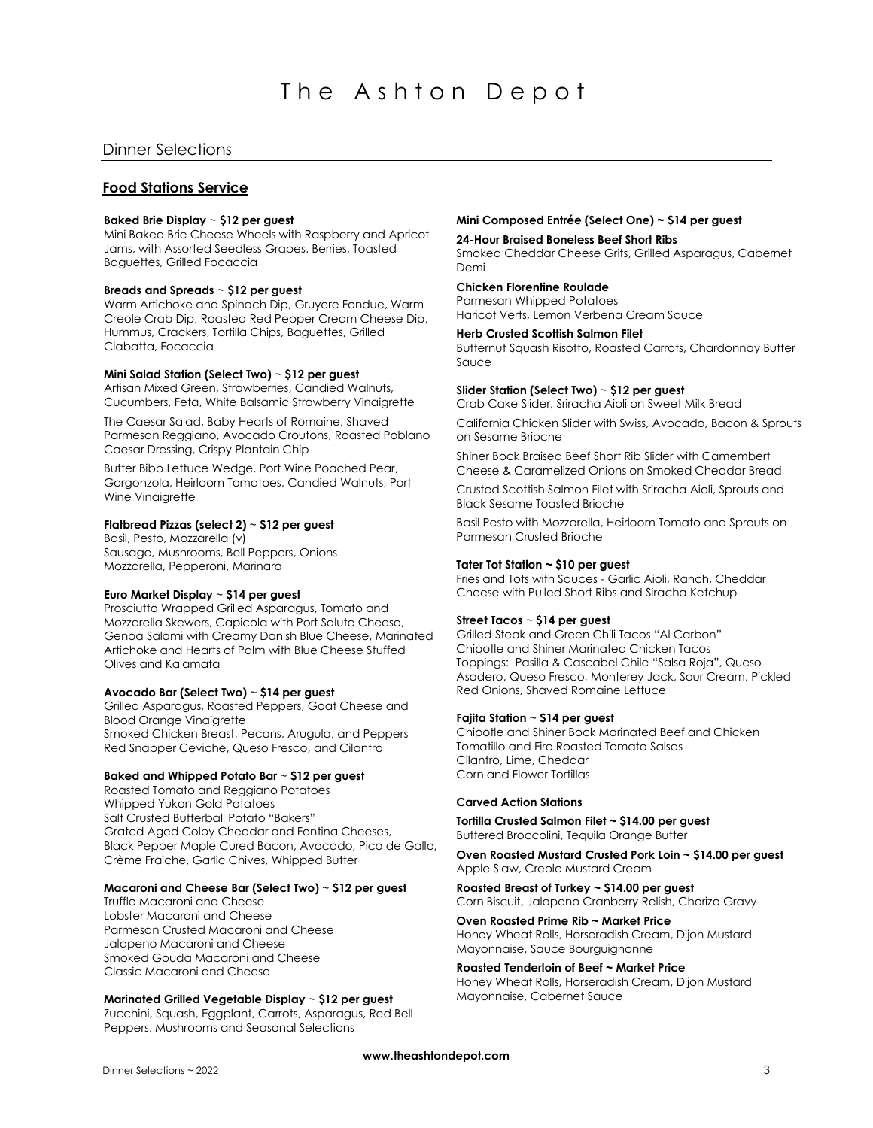# The Ashton Depot

# Dinner Selections

# **Food Stations Service**

#### **Baked Brie Display** ~ **\$12 per guest**

Mini Baked Brie Cheese Wheels with Raspberry and Apricot Jams, with Assorted Seedless Grapes, Berries, Toasted Baguettes, Grilled Focaccia

## **Breads and Spreads** ~ **\$12 per guest**

Warm Artichoke and Spinach Dip, Gruyere Fondue, Warm Creole Crab Dip, Roasted Red Pepper Cream Cheese Dip, Hummus, Crackers, Tortilla Chips, Baguettes, Grilled Ciabatta, Focaccia

## **Mini Salad Station (Select Two)** ~ **\$12 per guest**

Artisan Mixed Green, Strawberries, Candied Walnuts, Cucumbers, Feta, White Balsamic Strawberry Vinaigrette

The Caesar Salad, Baby Hearts of Romaine, Shaved Parmesan Reggiano, Avocado Croutons, Roasted Poblano Caesar Dressing, Crispy Plantain Chip

Butter Bibb Lettuce Wedge, Port Wine Poached Pear, Gorgonzola, Heirloom Tomatoes, Candied Walnuts, Port Wine Vinaiarette

### **Flatbread Pizzas (select 2)** ~ **\$12 per guest**

Basil, Pesto, Mozzarella (v) Sausage, Mushrooms, Bell Peppers, Onions Mozzarella, Pepperoni, Marinara

## **Euro Market Display** ~ **\$14 per guest**

Prosciutto Wrapped Grilled Asparagus, Tomato and Mozzarella Skewers, Capicola with Port Salute Cheese, Genoa Salami with Creamy Danish Blue Cheese, Marinated Artichoke and Hearts of Palm with Blue Cheese Stuffed Olives and Kalamata

## **Avocado Bar (Select Two)** ~ **\$14 per guest**

Grilled Asparagus, Roasted Peppers, Goat Cheese and Blood Orange Vinaigrette Smoked Chicken Breast, Pecans, Arugula, and Peppers Red Snapper Ceviche, Queso Fresco, and Cilantro

## **Baked and Whipped Potato Bar** ~ **\$12 per guest**

Roasted Tomato and Reggiano Potatoes Whipped Yukon Gold Potatoes Salt Crusted Butterball Potato "Bakers" Grated Aged Colby Cheddar and Fontina Cheeses, Black Pepper Maple Cured Bacon, Avocado, Pico de Gallo, Crème Fraiche, Garlic Chives, Whipped Butter

# **Macaroni and Cheese Bar (Select Two)** ~ **\$12 per guest**

Truffle Macaroni and Cheese Lobster Macaroni and Cheese Parmesan Crusted Macaroni and Cheese Jalapeno Macaroni and Cheese Smoked Gouda Macaroni and Cheese Classic Macaroni and Cheese

#### **Marinated Grilled Vegetable Display** ~ **\$12 per guest**

Zucchini, Squash, Eggplant, Carrots, Asparagus, Red Bell Peppers, Mushrooms and Seasonal Selections

## **Mini Composed Entrée (Select One) ~ \$14 per guest**

#### **24-Hour Braised Boneless Beef Short Ribs**

Smoked Cheddar Cheese Grits, Grilled Asparagus, Cabernet Demi

# **Chicken Florentine Roulade**

Parmesan Whipped Potatoes Haricot Verts, Lemon Verbena Cream Sauce

## **Herb Crusted Scottish Salmon Filet**

Butternut Squash Risotto, Roasted Carrots, Chardonnay Butter Sauce

#### **Slider Station (Select Two)** ~ **\$12 per guest**

Crab Cake Slider, Sriracha Aioli on Sweet Milk Bread

California Chicken Slider with Swiss, Avocado, Bacon & Sprouts on Sesame Brioche

Shiner Bock Braised Beef Short Rib Slider with Camembert Cheese & Caramelized Onions on Smoked Cheddar Bread

Crusted Scottish Salmon Filet with Sriracha Aioli, Sprouts and Black Sesame Toasted Brioche

Basil Pesto with Mozzarella, Heirloom Tomato and Sprouts on Parmesan Crusted Brioche

#### **Tater Tot Station ~ \$10 per guest**

Fries and Tots with Sauces - Garlic Aioli, Ranch, Cheddar Cheese with Pulled Short Ribs and Siracha Ketchup

## **Street Tacos** ~ **\$14 per guest**

Grilled Steak and Green Chili Tacos "Al Carbon" Chipotle and Shiner Marinated Chicken Tacos Toppings: Pasilla & Cascabel Chile "Salsa Roja", Queso Asadero, Queso Fresco, Monterey Jack, Sour Cream, Pickled Red Onions, Shaved Romaine Lettuce

#### **Fajita Station** ~ **\$14 per guest**

Chipotle and Shiner Bock Marinated Beef and Chicken Tomatillo and Fire Roasted Tomato Salsas Cilantro, Lime, Cheddar Corn and Flower Tortillas

#### **Carved Action Stations**

**Tortilla Crusted Salmon Filet ~ \$14.00 per guest** Buttered Broccolini, Tequila Orange Butter

**Oven Roasted Mustard Crusted Pork Loin ~ \$14.00 per guest** Apple Slaw, Creole Mustard Cream

**Roasted Breast of Turkey ~ \$14.00 per guest** Corn Biscuit, Jalapeno Cranberry Relish, Chorizo Gravy

**Oven Roasted Prime Rib ~ Market Price** Honey Wheat Rolls, Horseradish Cream, Dijon Mustard Mayonnaise, Sauce Bourguignonne

**Roasted Tenderloin of Beef ~ Market Price**

Honey Wheat Rolls, Horseradish Cream, Dijon Mustard Mayonnaise, Cabernet Sauce